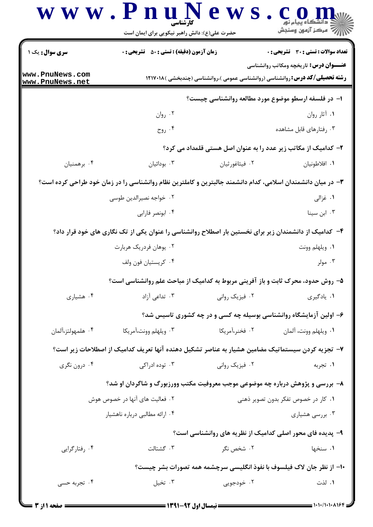|                                    | www.PnuNews<br>کار شناسی<br>حضرت علی(ع): دانش راهبر نیکویی برای ایمان است                                   |                | أأأآه مركز آزمون وسنجش                                                                                                                |
|------------------------------------|-------------------------------------------------------------------------------------------------------------|----------------|---------------------------------------------------------------------------------------------------------------------------------------|
| سری سوال: یک ۱                     | <b>زمان آزمون (دقیقه) : تستی : 50 ٪ تشریحی : 0</b>                                                          |                | <b>تعداد سوالات : تستی : 30 ٪ تشریحی : 0</b>                                                                                          |
| www.PnuNews.com<br>www.PnuNews.net |                                                                                                             |                | <b>عنـــوان درس:</b> تاریخچه ومکاتب روانشناسی<br><b>رشته تحصیلی/کد درس: روانشناسی (روانشناسی عمومی )،روانشناسی (چندبخشی )۱۲۱۷۰۱۸ </b> |
|                                    |                                                                                                             |                | ۱– در فلسفه ارسطو موضوع مورد مطالعه روانشناسی چیست؟                                                                                   |
|                                    | ۰۲ روان                                                                                                     |                | ۰۱ آثار روان                                                                                                                          |
|                                    | ۰۴ روح                                                                                                      |                | ۰۳ رفتارهای قابل مشاهده                                                                                                               |
|                                    |                                                                                                             |                | ۲- کدامیک از مکاتب زیر عدد را به عنوان اصل هستی قلمداد می کرد؟                                                                        |
| ۰۴ برهمنيان                        | ۰۳ بودائیان                                                                                                 | ۰۲ فیثاغورثیان | ٠١. افلاطونيان                                                                                                                        |
|                                    | ۳- در میان دانشمندان اسلامی، کدام دانشمند جالبترین و کاملترین نظام روانشناسی را در زمان خود طراحی کرده است؟ |                |                                                                                                                                       |
|                                    | ٢. خواجه نصيرالدين طوسي                                                                                     |                | ۰۱ غزالی                                                                                                                              |
|                                    | ۰۴ ابونصر فارابي                                                                                            |                | ۰۳ ابن سینا                                                                                                                           |
|                                    | ۴– کدامیک از دانشمندان زیر برای نخستین بار اصطلاح روانشناسی را عنوان یکی از تک نگاری های خود قرار داد؟      |                |                                                                                                                                       |
|                                    | ۰۲ يوهان فردريک هربارت                                                                                      |                | ٠١. ويلهلم وونت                                                                                                                       |
|                                    | ۰۴ کریستیان فون ولف                                                                                         |                | ۰۳ مولر                                                                                                                               |
|                                    | ۵– روش حدود، محرک ثابت و باز آفرینی مربوط به کدامیک از مباحث علم روانشناسی است؟                             |                |                                                                                                                                       |
| ۰۴ هشیاری                          | ۰۳ تداعی آزاد                                                                                               | ۰۲ فیزیک روانی | ٠١. يادگيري                                                                                                                           |
|                                    |                                                                                                             |                | ۶– اولین آزمایشگاه روانشناسی بوسیله چه کسی و در چه کشوری تاسیس شد؟                                                                    |
| ۰۴ هلمهولتز،آلمان                  | ۰۳ ويلهلم وونت،آمريكا                                                                                       | ۰۲ فخنر،آمریکا | ٠١. ويلهلم وونت، آلمان                                                                                                                |
|                                    | ۷– تجزیه کردن سیستماتیک مضامین هشیار به عناصر تشکیل دهنده آنها تعریف کدامیک از اصطلاحات زیر است؟            |                |                                                                                                                                       |
| ۰۴ درون نگري                       | ۰۳ توده ادراکی                                                                                              | ۰۲ فیزیک روانی | ۰۱ تجربه                                                                                                                              |
|                                    | ۸– بررسی و پژوهش درباره چه موضوعی موجب معروفیت مکتب وورزبورگ و شاگردان او شد؟                               |                |                                                                                                                                       |
|                                    | ۰۲ فعالیت های آنها در خصوص هوش                                                                              |                | ۰۱ کار در خصوص تفکر بدون تصویر ذهنی                                                                                                   |
|                                    | ۰۴ ارائه مطالبی درباره ناهشیار                                                                              |                | ۰۳ بررسی هشیاری                                                                                                                       |
|                                    |                                                                                                             |                | ۹- پدیده فای محور اصلی کدامیک از نظریه های روانشناسی است؟                                                                             |
| ۰۴ رفتارگرایی                      | ٠٣ گشتالت                                                                                                   | ۰۲ شخص نگر     | ۰۱ سنخها                                                                                                                              |
|                                    |                                                                                                             |                | ∙ا− از نظر جان لاک فیلسوف با نفوذ انگلیسی سرچشمه همه تصورات بشر چیست؟                                                                 |
| ۰۴ تجربه حسی                       | ۰۳ تخيل                                                                                                     | ۰۲ خودجویی     | ۰۱ لذت                                                                                                                                |
|                                    |                                                                                                             |                |                                                                                                                                       |

= 1・1・/1・1・1164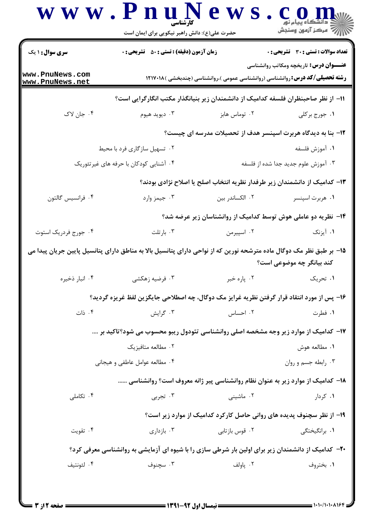|                                    | www.PnuNews<br>حضرت علی(ع): دانش راهبر نیکویی برای ایمان است                                                        |                                                                                      | C O N                                         |
|------------------------------------|---------------------------------------------------------------------------------------------------------------------|--------------------------------------------------------------------------------------|-----------------------------------------------|
| سری سوال : ۱ یک                    | <b>زمان آزمون (دقیقه) : تستی : 50 ٪ تشریحی : 0</b>                                                                  |                                                                                      | <b>تعداد سوالات : تستی : 30 ٪ تشریحی : 0</b>  |
| www.PnuNews.com<br>www.PnuNews.net |                                                                                                                     | <b>رشته تحصیلی/کد درس: روانشناسی (روانشناسی عمومی )،روانشناسی (چندبخشی )۱۲۱۷۰۱۸ </b> | <b>عنـــوان درس:</b> تاریخچه ومکاتب روانشناسی |
|                                    | اا− از نظر صاحبنظران فلسفه کدامیک از دانشمندان زیر بنیانگذار مکتب انگارگرایی است؟                                   |                                                                                      |                                               |
| ۰۴ جان لاک                         | ۰۳ ديويد هيوم                                                                                                       | ۰۲ توماس هابز                                                                        | ۰۱ جورج برکلی                                 |
|                                    |                                                                                                                     | ۱۲- بنا به دیدگاه هربرت اسپنسر هدف از تحصیلات مدرسه ای چیست؟                         |                                               |
|                                    | ۰۲ تسهیل سازگاری فرد با محیط                                                                                        |                                                                                      | ٠١ آموزش فلسفه                                |
|                                    | ۰۴ آشنایی کودکان با حرفه های غیرتئوریک                                                                              |                                                                                      | ۰۳ آموزش علوم جدید جدا شده از فلسفه           |
|                                    |                                                                                                                     | ۱۳– کدامیک از دانشمندان زیر طرفدار نظریه انتخاب اصلح یا اصلاح نژادی بودند؟           |                                               |
| ۰۴ فرانسیس گالتون                  | ۰۳ جیمز وارد                                                                                                        | ۰۲ الکساندر بین                                                                      | ۰۱ هربرت اسپنسر                               |
|                                    |                                                                                                                     | ۱۴– نظریه دو عاملی هوش توسط کدامیک از روانشناسان زیر عرضه شد؟                        |                                               |
| ۰۴ جورج فردريک استوت               | ۰۳ بارتلت                                                                                                           | ۰۲ اسپیرمن                                                                           | ۰۱ آیزنک                                      |
|                                    | ۱۵– بر طبق نظر مک دوگال ماده مترشحه نورین که از نواحی دارای پتانسیل بالا به مناطق دارای پتانسیل پایین جریان پیدا می |                                                                                      | کند بیانگر چه موضوعی است؟                     |
| ۰۴ انبار ذخیره                     | ۰۳ فرضیه زهکشی                                                                                                      | ۰۲ ياره خبر                                                                          | ۰۱ تحریک                                      |
|                                    | ۱۶- پس از مورد انتقاد قرار گرفتن نظریه غرایز مک دوگال، چه اصطلاحی جایگزین لفظ غریزه گردید؟                          |                                                                                      |                                               |
| ۰۴ ذات                             | ۰۳ گرایش                                                                                                            | ۰۲ احساس                                                                             | ۰۱ فطرت                                       |
|                                    | ۱۷- کدامیک از موارد زیر وجه مشخصه اصلی روانشناسی تئودول ریبو محسوب می شود؟تاکید بر ….                               |                                                                                      |                                               |
|                                    | ۰۲ مطالعه متافيزيک                                                                                                  |                                                                                      | ٠١ مطالعه هوش                                 |
|                                    | ۰۴ مطالعه عوامل عاطفي و هيجاني                                                                                      |                                                                                      | ۰۳ رابطه جسم و روان                           |
|                                    | <b>۱۸</b> - کدامیک از موارد زیر به عنوان نظام روانشناسی پیر ژانه معروف است؟ روانشناسی                               |                                                                                      |                                               |
| ۰۴ تکاملی                          | ۰۳ تجربی                                                                                                            | ۰۲ ماشینی                                                                            | ۰۱ کردار                                      |
|                                    |                                                                                                                     | ۱۹- از نظر سچنوف پدیده های روانی حاصل کارکرد کدامیک از موارد زیر است؟                |                                               |
| ۰۴ تقویت                           | ۰۳ بازداری                                                                                                          | ۰۲ قوس بازتابی                                                                       | ۰۱ برانگیختگ <sub>ی</sub>                     |
|                                    | <b>۳۰</b> - کدامیک از دانشمندان زیر برای اولین بار شرطی سازی را با شیوه ای آزمایشی به روانشناسی معرفی کرد؟          |                                                                                      |                                               |
| ۰۴ لئونتيف                         | ۰۳ سچنوف                                                                                                            | ۰۲ پاولف                                                                             | ۰۱ بختروف                                     |
|                                    |                                                                                                                     |                                                                                      |                                               |